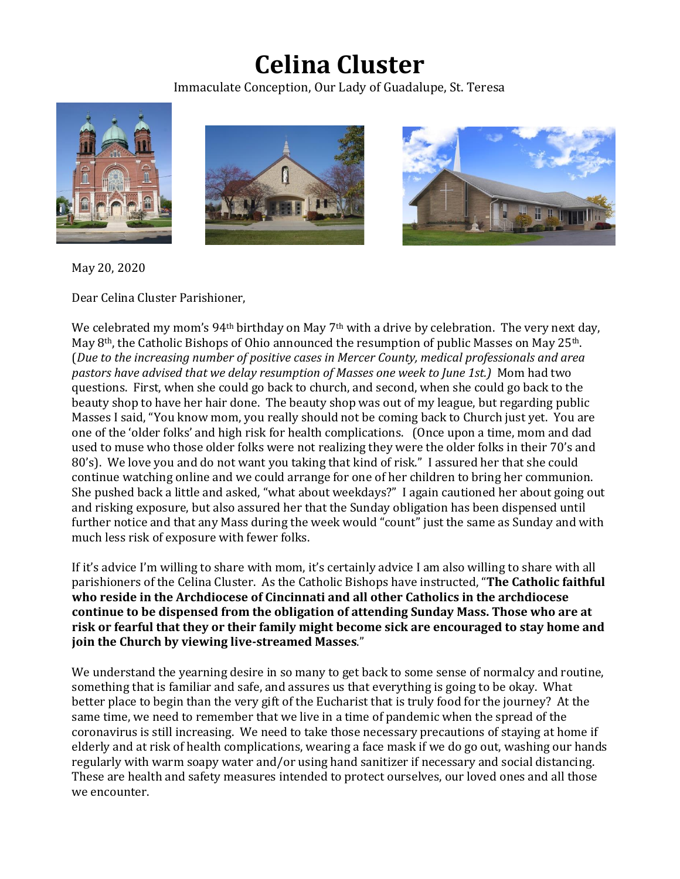## **Celina Cluster**

Immaculate Conception, Our Lady of Guadalupe, St. Teresa







May 20, 2020

Dear Celina Cluster Parishioner,

We celebrated my mom's  $94<sup>th</sup>$  birthday on May 7<sup>th</sup> with a drive by celebration. The very next day, May 8th, the Catholic Bishops of Ohio announced the resumption of public Masses on May 25th. (*Due to the increasing number of positive cases in Mercer County, medical professionals and area pastors have advised that we delay resumption of Masses one week to June 1st.)* Mom had two questions. First, when she could go back to church, and second, when she could go back to the beauty shop to have her hair done. The beauty shop was out of my league, but regarding public Masses I said, "You know mom, you really should not be coming back to Church just yet. You are one of the 'older folks' and high risk for health complications. (Once upon a time, mom and dad used to muse who those older folks were not realizing they were the older folks in their 70's and 80's). We love you and do not want you taking that kind of risk." I assured her that she could continue watching online and we could arrange for one of her children to bring her communion. She pushed back a little and asked, "what about weekdays?" I again cautioned her about going out and risking exposure, but also assured her that the Sunday obligation has been dispensed until further notice and that any Mass during the week would "count" just the same as Sunday and with much less risk of exposure with fewer folks.

If it's advice I'm willing to share with mom, it's certainly advice I am also willing to share with all parishioners of the Celina Cluster. As the Catholic Bishops have instructed, "**The Catholic faithful who reside in the Archdiocese of Cincinnati and all other Catholics in the archdiocese continue to be dispensed from the obligation of attending Sunday Mass. Those who are at risk or fearful that they or their family might become sick are encouraged to stay home and join the Church by viewing live-streamed Masses**."

We understand the yearning desire in so many to get back to some sense of normalcy and routine, something that is familiar and safe, and assures us that everything is going to be okay. What better place to begin than the very gift of the Eucharist that is truly food for the journey? At the same time, we need to remember that we live in a time of pandemic when the spread of the coronavirus is still increasing. We need to take those necessary precautions of staying at home if elderly and at risk of health complications, wearing a face mask if we do go out, washing our hands regularly with warm soapy water and/or using hand sanitizer if necessary and social distancing. These are health and safety measures intended to protect ourselves, our loved ones and all those we encounter.